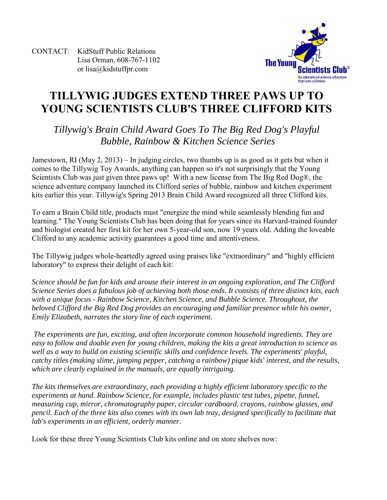CONTACT: KidStuff Public Relations Lisa Orman, 608-767-1102 or [lisa@kidstuffpr.com](mailto:lisa@kidstuffpr.com)



# **TILLYWIG JUDGES EXTEND THREE PAWS UP TO YOUNG SCIENTISTS CLUB'S THREE CLIFFORD KITS**

# *Tillywig's Brain Child Award Goes To The Big Red Dog's Playful Bubble, Rainbow & Kitchen Science Series*

Jamestown, RI (May 2, 2013) – In judging circles, two thumbs up is as good as it gets but when it comes to the Tillywig Toy Awards, anything can happen so it's not surprisingly that the Young Scientists Club was just given three paws up! With a new license from The Big Red Dog®, the science adventure company launched its Clifford series of bubble, rainbow and kitchen experiment kits earlier this year. Tillywig's Spring 2013 Brain Child Award recognized all three Clifford kits.

To earn a Brain Child title, products must "energize the mind while seamlessly blending fun and learning." The Young Scientists Club has been doing that for years since its Harvard-trained founder and biologist created her first kit for her own 5-year-old son, now 19 years old. Adding the loveable Clifford to any academic activity guarantees a good time and attentiveness.

The Tillywig judges whole-heartedly agreed using praises like "extraordinary" and "highly efficient laboratory" to express their delight of each kit:

*Science should be fun for kids and arouse their interest in an ongoing exploration, and The Clifford Science Series does a fabulous job of achieving both those ends. It consists of three distinct kits, each with a unique focus - Rainbow Science, Kitchen Science, and Bubble Science. Throughout, the beloved Clifford the Big Red Dog provides an encouraging and familiar presence while his owner, Emily Elizabeth, narrates the story line of each experiment.* 

*The experiments are fun, exciting, and often incorporate common household ingredients. They are easy to follow and doable even for young children, making the kits a great introduction to science as well as a way to build on existing scientific skills and confidence levels. The experiments' playful, catchy titles (making slime, jumping pepper, catching a rainbow) pique kids' interest, and the results, which are clearly explained in the manuals, are equally intriguing.* 

*The kits themselves are extraordinary, each providing a highly efficient laboratory specific to the experiments at hand. Rainbow Science, for example, includes plastic test tubes, pipette, funnel, measuring cup, mirror, chromatography paper, circular cardboard, crayons, rainbow glasses, and pencil. Each of the three kits also comes with its own lab tray, designed specifically to facilitate that lab's experiments in an efficient, orderly manner.* 

Look for these three Young Scientists Club kits online and on store shelves now: